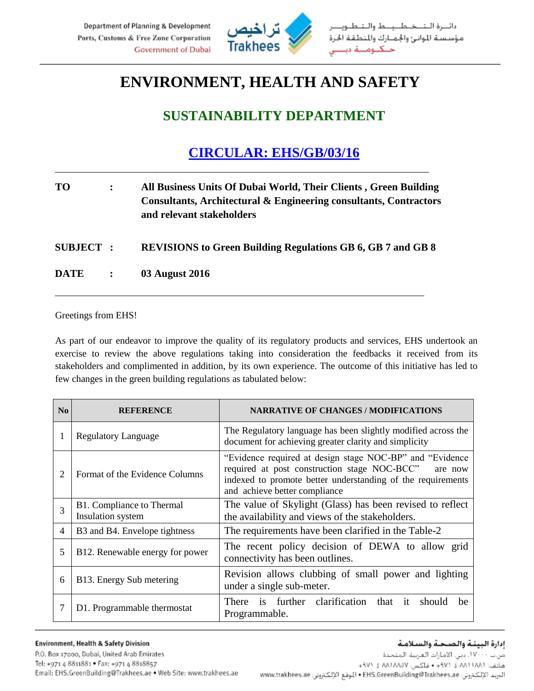

## **ENVIRONMENT, HEALTH AND SAFETY**

## **SUSTAINABILITY DEPARTMENT**

## **CIRCULAR: EHS/GB/03/16**

| TO. | All Business Units Of Dubai World, Their Clients, Green Building<br>Consultants, Architectural & Engineering consultants, Contractors<br>and relevant stakeholders |
|-----|--------------------------------------------------------------------------------------------------------------------------------------------------------------------|
|     |                                                                                                                                                                    |

\_\_\_\_\_\_\_\_\_\_\_\_\_\_\_\_\_\_\_\_\_\_\_\_\_\_\_\_\_\_\_\_\_\_\_\_\_\_\_\_\_\_\_\_\_\_\_\_\_\_\_\_\_\_\_\_\_\_\_\_\_\_\_\_\_\_\_\_\_\_\_\_\_\_\_\_\_\_

**SUBJECT : REVISIONS to Green Building Regulations GB 6, GB 7 and GB 8**

\_\_\_\_\_\_\_\_\_\_\_\_\_\_\_\_\_\_\_\_\_\_\_\_\_\_\_\_\_\_\_\_\_\_\_\_\_\_\_\_\_\_\_\_\_\_\_\_\_\_\_\_\_\_\_\_\_\_\_\_\_\_\_\_\_\_\_\_\_\_\_\_\_\_\_\_\_

**DATE : 03 August 2016**

## Greetings from EHS!

As part of our endeavor to improve the quality of its regulatory products and services, EHS undertook an exercise to review the above regulations taking into consideration the feedbacks it received from its stakeholders and complimented in addition, by its own experience. The outcome of this initiative has led to few changes in the green building regulations as tabulated below:

| N <sub>0</sub> | <b>REFERENCE</b>                               | <b>NARRATIVE OF CHANGES / MODIFICATIONS</b>                                                                                                                                                                          |
|----------------|------------------------------------------------|----------------------------------------------------------------------------------------------------------------------------------------------------------------------------------------------------------------------|
| 1              | <b>Regulatory Language</b>                     | The Regulatory language has been slightly modified across the<br>document for achieving greater clarity and simplicity                                                                                               |
| $\overline{2}$ | Format of the Evidence Columns                 | "Evidence required at design stage NOC-BP" and "Evidence"<br>required at post construction stage NOC-BCC"<br>are now<br>indexed to promote better understanding of the requirements<br>and achieve better compliance |
| 3              | B1. Compliance to Thermal<br>Insulation system | The value of Skylight (Glass) has been revised to reflect<br>the availability and views of the stakeholders.                                                                                                         |
| $\overline{4}$ | B3 and B4. Envelope tightness                  | The requirements have been clarified in the Table-2                                                                                                                                                                  |
| 5              | B12. Renewable energy for power                | The recent policy decision of DEWA to allow grid<br>connectivity has been outlines.                                                                                                                                  |
| 6              | B13. Energy Sub metering                       | Revision allows clubbing of small power and lighting<br>under a single sub-meter.                                                                                                                                    |
| 7              | D1. Programmable thermostat                    | There is further clarification that it<br>should<br>be<br>Programmable.                                                                                                                                              |